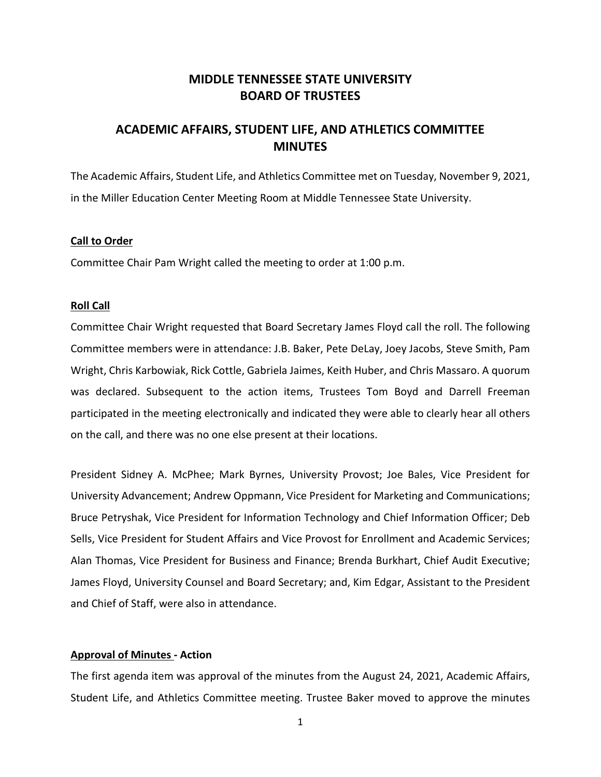# **MIDDLE TENNESSEE STATE UNIVERSITY BOARD OF TRUSTEES**

# **ACADEMIC AFFAIRS, STUDENT LIFE, AND ATHLETICS COMMITTEE MINUTES**

The Academic Affairs, Student Life, and Athletics Committee met on Tuesday, November 9, 2021, in the Miller Education Center Meeting Room at Middle Tennessee State University.

#### **Call to Order**

Committee Chair Pam Wright called the meeting to order at 1:00 p.m.

#### **Roll Call**

Committee Chair Wright requested that Board Secretary James Floyd call the roll. The following Committee members were in attendance: J.B. Baker, Pete DeLay, Joey Jacobs, Steve Smith, Pam Wright, Chris Karbowiak, Rick Cottle, Gabriela Jaimes, Keith Huber, and Chris Massaro. A quorum was declared. Subsequent to the action items, Trustees Tom Boyd and Darrell Freeman participated in the meeting electronically and indicated they were able to clearly hear all others on the call, and there was no one else present at their locations.

President Sidney A. McPhee; Mark Byrnes, University Provost; Joe Bales, Vice President for University Advancement; Andrew Oppmann, Vice President for Marketing and Communications; Bruce Petryshak, Vice President for Information Technology and Chief Information Officer; Deb Sells, Vice President for Student Affairs and Vice Provost for Enrollment and Academic Services; Alan Thomas, Vice President for Business and Finance; Brenda Burkhart, Chief Audit Executive; James Floyd, University Counsel and Board Secretary; and, Kim Edgar, Assistant to the President and Chief of Staff, were also in attendance.

# **Approval of Minutes - Action**

The first agenda item was approval of the minutes from the August 24, 2021, Academic Affairs, Student Life, and Athletics Committee meeting. Trustee Baker moved to approve the minutes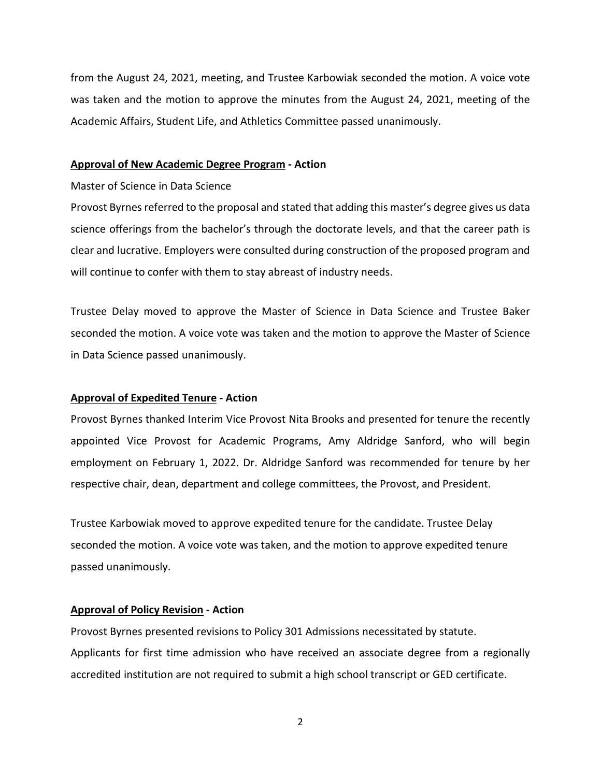from the August 24, 2021, meeting, and Trustee Karbowiak seconded the motion. A voice vote was taken and the motion to approve the minutes from the August 24, 2021, meeting of the Academic Affairs, Student Life, and Athletics Committee passed unanimously.

#### **Approval of New Academic Degree Program - Action**

#### Master of Science in Data Science

Provost Byrnes referred to the proposal and stated that adding this master's degree gives us data science offerings from the bachelor's through the doctorate levels, and that the career path is clear and lucrative. Employers were consulted during construction of the proposed program and will continue to confer with them to stay abreast of industry needs.

Trustee Delay moved to approve the Master of Science in Data Science and Trustee Baker seconded the motion. A voice vote was taken and the motion to approve the Master of Science in Data Science passed unanimously.

#### **Approval of Expedited Tenure - Action**

Provost Byrnes thanked Interim Vice Provost Nita Brooks and presented for tenure the recently appointed Vice Provost for Academic Programs, Amy Aldridge Sanford, who will begin employment on February 1, 2022. Dr. Aldridge Sanford was recommended for tenure by her respective chair, dean, department and college committees, the Provost, and President.

Trustee Karbowiak moved to approve expedited tenure for the candidate. Trustee Delay seconded the motion. A voice vote was taken, and the motion to approve expedited tenure passed unanimously.

# **Approval of Policy Revision - Action**

Provost Byrnes presented revisions to Policy 301 Admissions necessitated by statute. Applicants for first time admission who have received an associate degree from a regionally accredited institution are not required to submit a high school transcript or GED certificate.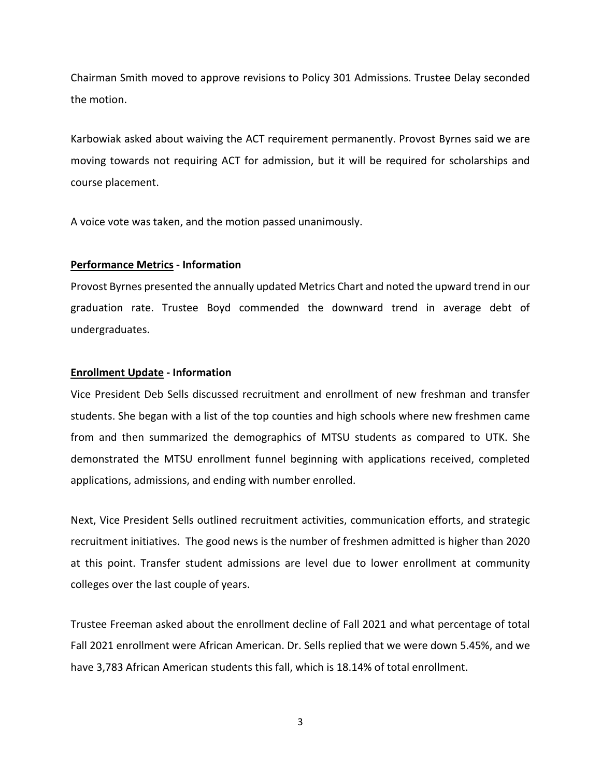Chairman Smith moved to approve revisions to Policy 301 Admissions. Trustee Delay seconded the motion.

Karbowiak asked about waiving the ACT requirement permanently. Provost Byrnes said we are moving towards not requiring ACT for admission, but it will be required for scholarships and course placement.

A voice vote was taken, and the motion passed unanimously.

### **Performance Metrics - Information**

Provost Byrnes presented the annually updated Metrics Chart and noted the upward trend in our graduation rate. Trustee Boyd commended the downward trend in average debt of undergraduates.

### **Enrollment Update - Information**

Vice President Deb Sells discussed recruitment and enrollment of new freshman and transfer students. She began with a list of the top counties and high schools where new freshmen came from and then summarized the demographics of MTSU students as compared to UTK. She demonstrated the MTSU enrollment funnel beginning with applications received, completed applications, admissions, and ending with number enrolled.

Next, Vice President Sells outlined recruitment activities, communication efforts, and strategic recruitment initiatives. The good news is the number of freshmen admitted is higher than 2020 at this point. Transfer student admissions are level due to lower enrollment at community colleges over the last couple of years.

Trustee Freeman asked about the enrollment decline of Fall 2021 and what percentage of total Fall 2021 enrollment were African American. Dr. Sells replied that we were down 5.45%, and we have 3,783 African American students this fall, which is 18.14% of total enrollment.

3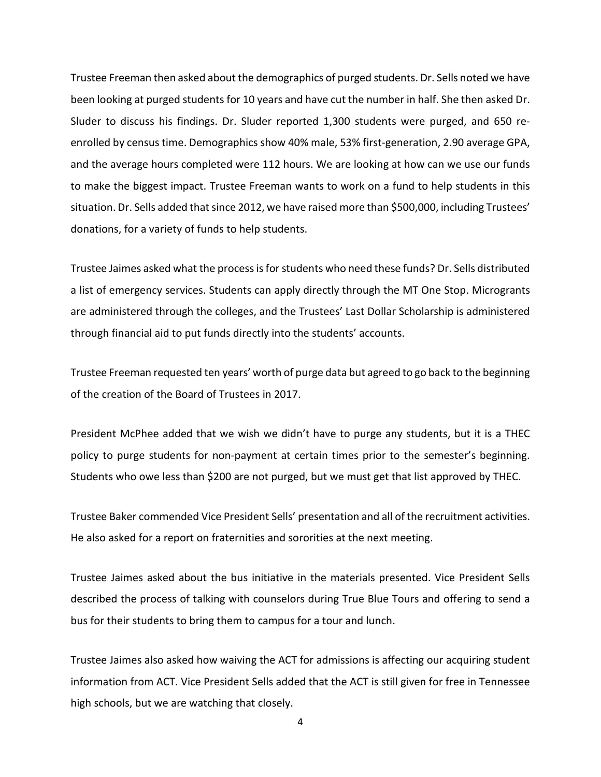Trustee Freeman then asked about the demographics of purged students. Dr. Sells noted we have been looking at purged students for 10 years and have cut the number in half. She then asked Dr. Sluder to discuss his findings. Dr. Sluder reported 1,300 students were purged, and 650 reenrolled by census time. Demographics show 40% male, 53% first-generation, 2.90 average GPA, and the average hours completed were 112 hours. We are looking at how can we use our funds to make the biggest impact. Trustee Freeman wants to work on a fund to help students in this situation. Dr. Sells added that since 2012, we have raised more than \$500,000, including Trustees' donations, for a variety of funds to help students.

Trustee Jaimes asked what the process is for students who need these funds? Dr. Sells distributed a list of emergency services. Students can apply directly through the MT One Stop. Microgrants are administered through the colleges, and the Trustees' Last Dollar Scholarship is administered through financial aid to put funds directly into the students' accounts.

Trustee Freeman requested ten years' worth of purge data but agreed to go back to the beginning of the creation of the Board of Trustees in 2017.

President McPhee added that we wish we didn't have to purge any students, but it is a THEC policy to purge students for non-payment at certain times prior to the semester's beginning. Students who owe less than \$200 are not purged, but we must get that list approved by THEC.

Trustee Baker commended Vice President Sells' presentation and all of the recruitment activities. He also asked for a report on fraternities and sororities at the next meeting.

Trustee Jaimes asked about the bus initiative in the materials presented. Vice President Sells described the process of talking with counselors during True Blue Tours and offering to send a bus for their students to bring them to campus for a tour and lunch.

Trustee Jaimes also asked how waiving the ACT for admissions is affecting our acquiring student information from ACT. Vice President Sells added that the ACT is still given for free in Tennessee high schools, but we are watching that closely.